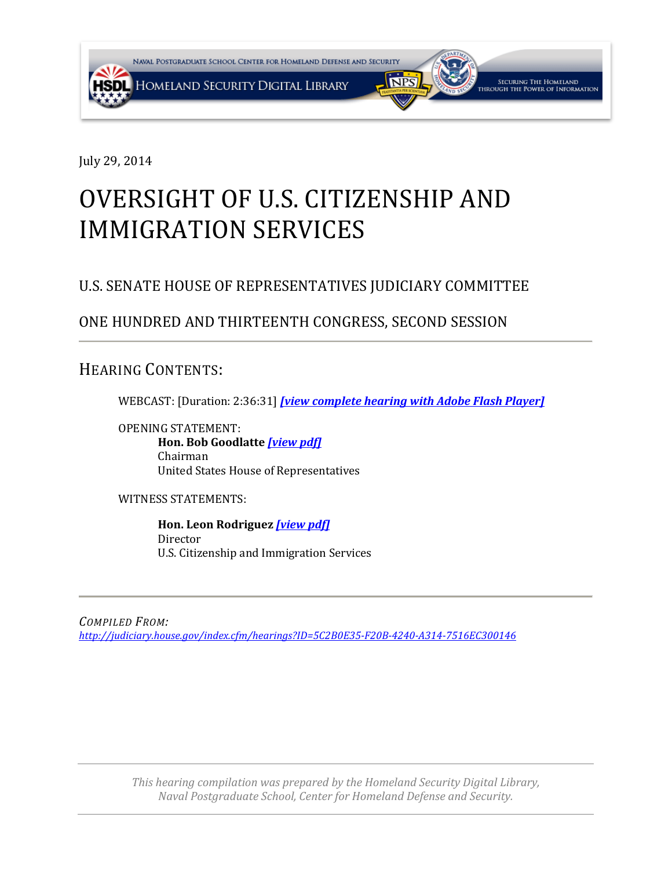

July 29, 2014

# OVERSIGHT OF U.S. CITIZENSHIP AND IMMIGRATION SERVICES

## U.S. SENATE HOUSE OF REPRESENTATIVES JUDICIARY COMMITTEE

### ONE HUNDRED AND THIRTEENTH CONGRESS, SECOND SESSION

<span id="page-0-0"></span>HEARING CONTENTS:

WEBCAST: [Duration: 2:36:31] *[\[view complete hearing with Adobe Flash Player\]](http://www.c-span.org/video/?320711-1/hearing-oversight-us-citizenship-immigration-services)*

OPENING STATEMENT: **Hon. Bob Goodlatte** *[\[view pdf\]](#page-1-0)* Chairman United States House of Representatives

WITNESS STATEMENTS:

**Hon. Leon Rodriguez** *[\[](#page-0-0)[view pdf\]](#page-3-0)* Director U.S. Citizenship and Immigration Services

*COMPILED FROM: <http://judiciary.house.gov/index.cfm/hearings?ID=5C2B0E35-F20B-4240-A314-7516EC300146>*

> *This hearing compilation was prepared by the Homeland Security Digital Library, Naval Postgraduate School, Center for Homeland Defense and Security.*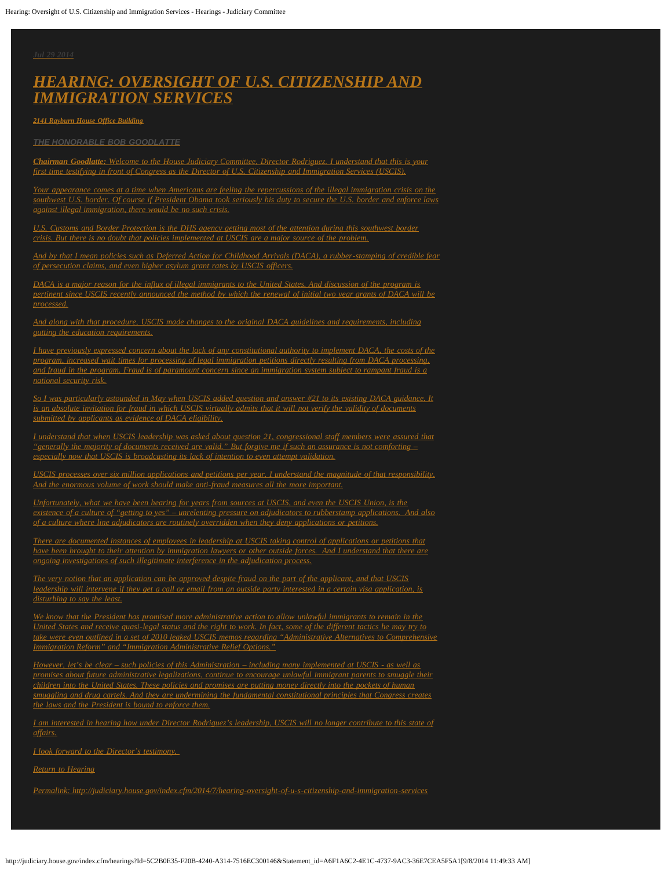<span id="page-1-0"></span>*[Jul](http://judiciary.house.gov/index.cfm/2014/7/hearing-oversight-of-u-s-citizenship-and-immigration-services) [29](http://judiciary.house.gov/index.cfm/2014/7/hearing-oversight-of-u-s-citizenship-and-immigration-services) [2014](http://judiciary.house.gov/index.cfm/2014/7/hearing-oversight-of-u-s-citizenship-and-immigration-services)*

#### *[HEARING: OVERSIGHT OF U.S. CITIZENSHIP AND](http://judiciary.house.gov/index.cfm/hearings?ID=5C2B0E35-F20B-4240-A314-7516EC300146) [IMMIGRATION SERVICES](http://judiciary.house.gov/index.cfm/hearings?ID=5C2B0E35-F20B-4240-A314-7516EC300146)*

*[2141](http://judiciary.house.gov/index.cfm/2014/7/hearing-oversight-of-u-s-citizenship-and-immigration-services) [Rayburn House Office Building](http://judiciary.house.gov/index.cfm/2014/7/hearing-oversight-of-u-s-citizenship-and-immigration-services)*

*[THE HONORABLE BOB GOODLATTE](http://judiciary.house.gov/index.cfm/2014/7/hearing-oversight-of-u-s-citizenship-and-immigration-services)*

*[Chairman Goodlatte:](http://judiciary.house.gov/index.cfm/2014/7/hearing-oversight-of-u-s-citizenship-and-immigration-services) [Welcome to the House Judiciary Committee, Director Rodriguez. I understand that this is your](http://judiciary.house.gov/index.cfm/2014/7/hearing-oversight-of-u-s-citizenship-and-immigration-services) [first time testifying in front of Congress as the Director of U.S. Citizenship and Immigration Services \(USCIS\).](http://judiciary.house.gov/index.cfm/2014/7/hearing-oversight-of-u-s-citizenship-and-immigration-services)*

*Comes at a time when Americans are feeling the repercussions of the illegal immigration crisis on the [southwest U.S. border. Of course if President Obama took seriously his duty to secure the U.S. border and enforce laws](http://judiciary.house.gov/index.cfm/2014/7/hearing-oversight-of-u-s-citizenship-and-immigration-services) [against illegal immigration, there would be no such crisis.](http://judiciary.house.gov/index.cfm/2014/7/hearing-oversight-of-u-s-citizenship-and-immigration-services)*

*[U.S. Customs and Border Protection is the DHS agency getting most of the attention during this southwest border](http://judiciary.house.gov/index.cfm/2014/7/hearing-oversight-of-u-s-citizenship-and-immigration-services) [crisis. But there is no doubt that policies implemented at USCIS are a major source of the problem.](http://judiciary.house.gov/index.cfm/2014/7/hearing-oversight-of-u-s-citizenship-and-immigration-services)*

*[And by that I mean policies such as Deferred Action for Childhood Arrivals \(DACA\), a rubber-stamping of credible fear](http://judiciary.house.gov/index.cfm/2014/7/hearing-oversight-of-u-s-citizenship-and-immigration-services) [of persecution claims, and even higher asylum grant rates by USCIS officers.](http://judiciary.house.gov/index.cfm/2014/7/hearing-oversight-of-u-s-citizenship-and-immigration-services)*

*[DACA is a major reason for the influx of illegal immigrants to the United States. And discussion of the program is](http://judiciary.house.gov/index.cfm/2014/7/hearing-oversight-of-u-s-citizenship-and-immigration-services) [pertinent since USCIS recently announced the method by which the renewal of initial two year grants of DACA will be](http://judiciary.house.gov/index.cfm/2014/7/hearing-oversight-of-u-s-citizenship-and-immigration-services) [processed.](http://judiciary.house.gov/index.cfm/2014/7/hearing-oversight-of-u-s-citizenship-and-immigration-services)*

*[And along with that procedure, USCIS made changes to the original DACA guidelines and requirements, including](http://judiciary.house.gov/index.cfm/2014/7/hearing-oversight-of-u-s-citizenship-and-immigration-services) [gutting the education requirements.](http://judiciary.house.gov/index.cfm/2014/7/hearing-oversight-of-u-s-citizenship-and-immigration-services)*

*[I have previously expressed concern about the lack of any constitutional authority to implement DACA, the costs of the](http://judiciary.house.gov/index.cfm/2014/7/hearing-oversight-of-u-s-citizenship-and-immigration-services) [program, increased wait times for processing of legal immigration petitions directly resulting from DACA processing,](http://judiciary.house.gov/index.cfm/2014/7/hearing-oversight-of-u-s-citizenship-and-immigration-services) [and fraud in the program. Fraud is of paramount concern since an immigration system subject to rampant fraud is a](http://judiciary.house.gov/index.cfm/2014/7/hearing-oversight-of-u-s-citizenship-and-immigration-services) [national security risk.](http://judiciary.house.gov/index.cfm/2014/7/hearing-oversight-of-u-s-citizenship-and-immigration-services)*

*[So I was particularly astounded in May when USCIS added question and answer #21 to its existing DACA guidance. It](http://judiciary.house.gov/index.cfm/2014/7/hearing-oversight-of-u-s-citizenship-and-immigration-services) [is an absolute invitation for fraud in which USCIS virtually admits that it will not verify the validity of documents](http://judiciary.house.gov/index.cfm/2014/7/hearing-oversight-of-u-s-citizenship-and-immigration-services) [submitted by applicants as evidence of DACA eligibility.](http://judiciary.house.gov/index.cfm/2014/7/hearing-oversight-of-u-s-citizenship-and-immigration-services)*

*[I understand that when USCIS leadership was asked about question 21, congressional staff members were assured that](http://judiciary.house.gov/index.cfm/2014/7/hearing-oversight-of-u-s-citizenship-and-immigration-services) ["generally the majority of documents received are valid." But forgive me if such an assurance is not comforting –](http://judiciary.house.gov/index.cfm/2014/7/hearing-oversight-of-u-s-citizenship-and-immigration-services) [especially now that USCIS is broadcasting its lack of intention to even attempt validation.](http://judiciary.house.gov/index.cfm/2014/7/hearing-oversight-of-u-s-citizenship-and-immigration-services)*

*[USCIS processes over six million applications and petitions per year. I understand the magnitude of that responsibility.](http://judiciary.house.gov/index.cfm/2014/7/hearing-oversight-of-u-s-citizenship-and-immigration-services) [And the enormous volume of work should make anti-fraud measures all the more important.](http://judiciary.house.gov/index.cfm/2014/7/hearing-oversight-of-u-s-citizenship-and-immigration-services)*

*[Unfortunately, what we have been hearing for years from sources at USCIS, and even the USCIS Union, is the](http://judiciary.house.gov/index.cfm/2014/7/hearing-oversight-of-u-s-citizenship-and-immigration-services) [existence of a culture of "getting to yes" – unrelenting pressure on adjudicators to rubberstamp applications. And also](http://judiciary.house.gov/index.cfm/2014/7/hearing-oversight-of-u-s-citizenship-and-immigration-services) [of a culture where line adjudicators are routinely overridden when they deny applications or petitions.](http://judiciary.house.gov/index.cfm/2014/7/hearing-oversight-of-u-s-citizenship-and-immigration-services)*

*[There are documented instances of employees in leadership at USCIS taking control of applications or petitions that](http://judiciary.house.gov/index.cfm/2014/7/hearing-oversight-of-u-s-citizenship-and-immigration-services) [have been brought to their attention by immigration lawyers or other outside forces. And I understand that there are](http://judiciary.house.gov/index.cfm/2014/7/hearing-oversight-of-u-s-citizenship-and-immigration-services) [ongoing investigations of such illegitimate interference in the adjudication process.](http://judiciary.house.gov/index.cfm/2014/7/hearing-oversight-of-u-s-citizenship-and-immigration-services)*

*[The very notion that an application can be approved despite fraud on the part of the applicant, and that USCIS](http://judiciary.house.gov/index.cfm/2014/7/hearing-oversight-of-u-s-citizenship-and-immigration-services) [leadership will intervene if they get a call or email from an outside party interested in a certain visa application, is](http://judiciary.house.gov/index.cfm/2014/7/hearing-oversight-of-u-s-citizenship-and-immigration-services) [disturbing to say the least.](http://judiciary.house.gov/index.cfm/2014/7/hearing-oversight-of-u-s-citizenship-and-immigration-services)*

*[We know that the President has promised more administrative action to allow unlawful immigrants to remain in the](http://judiciary.house.gov/index.cfm/2014/7/hearing-oversight-of-u-s-citizenship-and-immigration-services) [United States and receive quasi-legal status and the right to work. In fact, some of the different tactics he may try to](http://judiciary.house.gov/index.cfm/2014/7/hearing-oversight-of-u-s-citizenship-and-immigration-services) [take were even outlined in a set of 2010 leaked USCIS memos regarding "Administrative Alternatives to Comprehensive](http://judiciary.house.gov/index.cfm/2014/7/hearing-oversight-of-u-s-citizenship-and-immigration-services) [Immigration Reform" and "Immigration Administrative Relief Options."](http://judiciary.house.gov/index.cfm/2014/7/hearing-oversight-of-u-s-citizenship-and-immigration-services)*

*[However, let's be clear – such policies of this Administration – including many implemented at USCIS - as well as](http://judiciary.house.gov/index.cfm/2014/7/hearing-oversight-of-u-s-citizenship-and-immigration-services) [promises about future administrative legalizations, continue to encourage unlawful immigrant parents to smuggle their](http://judiciary.house.gov/index.cfm/2014/7/hearing-oversight-of-u-s-citizenship-and-immigration-services) [children into the United States. These policies and promises are putting money directly into the pockets of human](http://judiciary.house.gov/index.cfm/2014/7/hearing-oversight-of-u-s-citizenship-and-immigration-services) [smuggling and drug cartels. And they are undermining the fundamental constitutional principles that Congress creates](http://judiciary.house.gov/index.cfm/2014/7/hearing-oversight-of-u-s-citizenship-and-immigration-services) [the laws and the President is bound to enforce them.](http://judiciary.house.gov/index.cfm/2014/7/hearing-oversight-of-u-s-citizenship-and-immigration-services)*

*[I am interested in hearing how under Director Rodriguez's leadership, USCIS will no longer contribute to this state of](http://judiciary.house.gov/index.cfm/2014/7/hearing-oversight-of-u-s-citizenship-and-immigration-services) [affairs.](http://judiciary.house.gov/index.cfm/2014/7/hearing-oversight-of-u-s-citizenship-and-immigration-services)*

*[I look forward to the Director's testimony.](http://judiciary.house.gov/index.cfm/2014/7/hearing-oversight-of-u-s-citizenship-and-immigration-services)*

*[Return to Hearing](http://judiciary.house.gov/index.cfm/hearings?id=5C2B0E35-F20B-4240-A314-7516EC300146)*

*[Permalink: http://judiciary.house.gov/index.cfm/2014/7/hearing-oversight-of-u-s-citizenship-and-immigration-services](http://judiciary.house.gov/index.cfm/2014/7/hearing-oversight-of-u-s-citizenship-and-immigration-services)*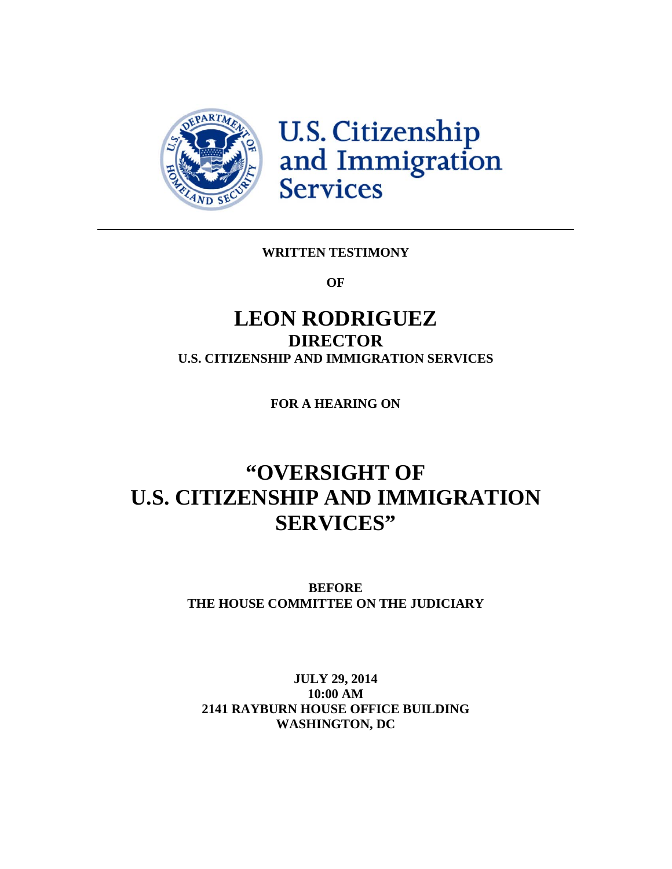<span id="page-3-0"></span>

U.S. Citizenship<br>and Immigration<br>Services

#### **WRITTEN TESTIMONY**

**OF**

## **LEON RODRIGUEZ DIRECTOR U.S. CITIZENSHIP AND IMMIGRATION SERVICES**

**FOR A HEARING ON**

## **"OVERSIGHT OF U.S. CITIZENSHIP AND IMMIGRATION SERVICES"**

**BEFORE THE HOUSE COMMITTEE ON THE JUDICIARY**

#### **JULY 29, 2014 10:00 AM 2141 RAYBURN HOUSE OFFICE BUILDING WASHINGTON, DC**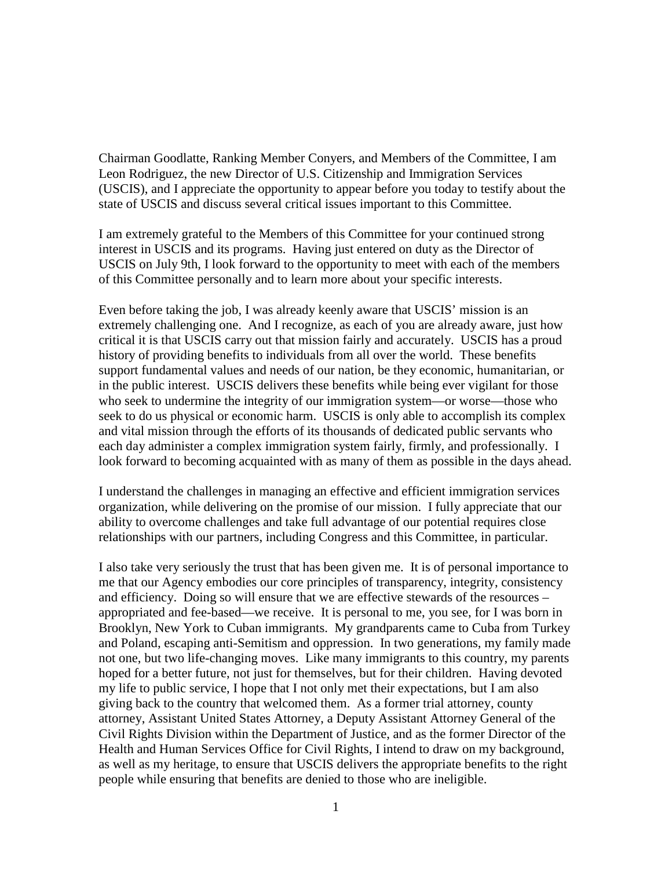Chairman Goodlatte, Ranking Member Conyers, and Members of the Committee, I am Leon Rodriguez, the new Director of U.S. Citizenship and Immigration Services (USCIS), and I appreciate the opportunity to appear before you today to testify about the state of USCIS and discuss several critical issues important to this Committee.

I am extremely grateful to the Members of this Committee for your continued strong interest in USCIS and its programs. Having just entered on duty as the Director of USCIS on July 9th, I look forward to the opportunity to meet with each of the members of this Committee personally and to learn more about your specific interests.

Even before taking the job, I was already keenly aware that USCIS' mission is an extremely challenging one. And I recognize, as each of you are already aware, just how critical it is that USCIS carry out that mission fairly and accurately. USCIS has a proud history of providing benefits to individuals from all over the world. These benefits support fundamental values and needs of our nation, be they economic, humanitarian, or in the public interest. USCIS delivers these benefits while being ever vigilant for those who seek to undermine the integrity of our immigration system—or worse—those who seek to do us physical or economic harm. USCIS is only able to accomplish its complex and vital mission through the efforts of its thousands of dedicated public servants who each day administer a complex immigration system fairly, firmly, and professionally. I look forward to becoming acquainted with as many of them as possible in the days ahead.

I understand the challenges in managing an effective and efficient immigration services organization, while delivering on the promise of our mission. I fully appreciate that our ability to overcome challenges and take full advantage of our potential requires close relationships with our partners, including Congress and this Committee, in particular.

I also take very seriously the trust that has been given me. It is of personal importance to me that our Agency embodies our core principles of transparency, integrity, consistency and efficiency. Doing so will ensure that we are effective stewards of the resources – appropriated and fee-based—we receive. It is personal to me, you see, for I was born in Brooklyn, New York to Cuban immigrants. My grandparents came to Cuba from Turkey and Poland, escaping anti-Semitism and oppression. In two generations, my family made not one, but two life-changing moves. Like many immigrants to this country, my parents hoped for a better future, not just for themselves, but for their children. Having devoted my life to public service, I hope that I not only met their expectations, but I am also giving back to the country that welcomed them. As a former trial attorney, county attorney, Assistant United States Attorney, a Deputy Assistant Attorney General of the Civil Rights Division within the Department of Justice, and as the former Director of the Health and Human Services Office for Civil Rights, I intend to draw on my background, as well as my heritage, to ensure that USCIS delivers the appropriate benefits to the right people while ensuring that benefits are denied to those who are ineligible.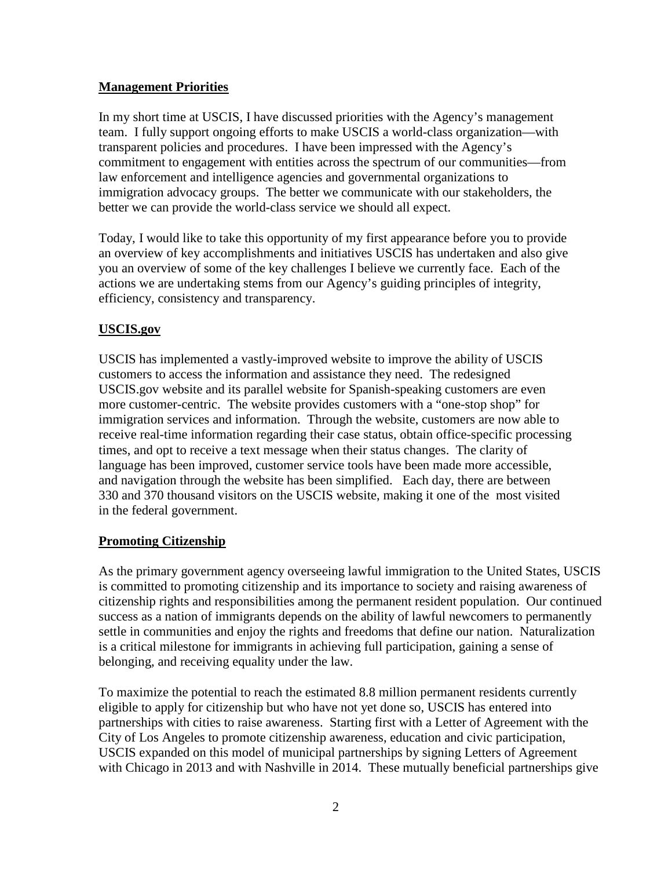#### **Management Priorities**

In my short time at USCIS, I have discussed priorities with the Agency's management team. I fully support ongoing efforts to make USCIS a world-class organization—with transparent policies and procedures. I have been impressed with the Agency's commitment to engagement with entities across the spectrum of our communities—from law enforcement and intelligence agencies and governmental organizations to immigration advocacy groups. The better we communicate with our stakeholders, the better we can provide the world-class service we should all expect.

Today, I would like to take this opportunity of my first appearance before you to provide an overview of key accomplishments and initiatives USCIS has undertaken and also give you an overview of some of the key challenges I believe we currently face. Each of the actions we are undertaking stems from our Agency's guiding principles of integrity, efficiency, consistency and transparency.

#### **USCIS.gov**

USCIS has implemented a vastly-improved website to improve the ability of USCIS customers to access the information and assistance they need. The redesigned USCIS.gov website and its parallel website for Spanish-speaking customers are even more customer-centric. The website provides customers with a "one-stop shop" for immigration services and information. Through the website, customers are now able to receive real-time information regarding their case status, obtain office-specific processing times, and opt to receive a text message when their status changes. The clarity of language has been improved, customer service tools have been made more accessible, and navigation through the website has been simplified. Each day, there are between 330 and 370 thousand visitors on the USCIS website, making it one of the most visited in the federal government.

#### **Promoting Citizenship**

As the primary government agency overseeing lawful immigration to the United States, USCIS is committed to promoting citizenship and its importance to society and raising awareness of citizenship rights and responsibilities among the permanent resident population. Our continued success as a nation of immigrants depends on the ability of lawful newcomers to permanently settle in communities and enjoy the rights and freedoms that define our nation. Naturalization is a critical milestone for immigrants in achieving full participation, gaining a sense of belonging, and receiving equality under the law.

To maximize the potential to reach the estimated 8.8 million permanent residents currently eligible to apply for citizenship but who have not yet done so, USCIS has entered into partnerships with cities to raise awareness. Starting first with a Letter of Agreement with the City of Los Angeles to promote citizenship awareness, education and civic participation, USCIS expanded on this model of municipal partnerships by signing Letters of Agreement with Chicago in 2013 and with Nashville in 2014. These mutually beneficial partnerships give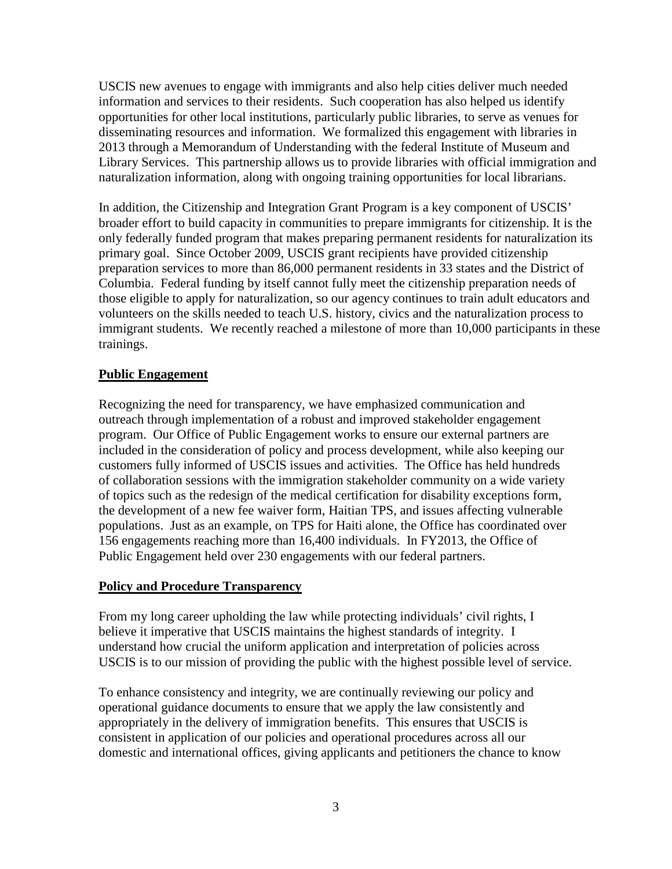USCIS new avenues to engage with immigrants and also help cities deliver much needed information and services to their residents. Such cooperation has also helped us identify opportunities for other local institutions, particularly public libraries, to serve as venues for disseminating resources and information. We formalized this engagement with libraries in 2013 through a Memorandum of Understanding with the federal Institute of Museum and Library Services. This partnership allows us to provide libraries with official immigration and naturalization information, along with ongoing training opportunities for local librarians.

In addition, the Citizenship and Integration Grant Program is a key component of USCIS' broader effort to build capacity in communities to prepare immigrants for citizenship. It is the only federally funded program that makes preparing permanent residents for naturalization its primary goal. Since October 2009, USCIS grant recipients have provided citizenship preparation services to more than 86,000 permanent residents in 33 states and the District of Columbia. Federal funding by itself cannot fully meet the citizenship preparation needs of those eligible to apply for naturalization, so our agency continues to train adult educators and volunteers on the skills needed to teach U.S. history, civics and the naturalization process to immigrant students. We recently reached a milestone of more than 10,000 participants in these trainings.

#### **Public Engagement**

Recognizing the need for transparency, we have emphasized communication and outreach through implementation of a robust and improved stakeholder engagement program. Our Office of Public Engagement works to ensure our external partners are included in the consideration of policy and process development, while also keeping our customers fully informed of USCIS issues and activities. The Office has held hundreds of collaboration sessions with the immigration stakeholder community on a wide variety of topics such as the redesign of the medical certification for disability exceptions form, the development of a new fee waiver form, Haitian TPS, and issues affecting vulnerable populations. Just as an example, on TPS for Haiti alone, the Office has coordinated over 156 engagements reaching more than 16,400 individuals. In FY2013, the Office of Public Engagement held over 230 engagements with our federal partners.

#### **Policy and Procedure Transparency**

From my long career upholding the law while protecting individuals' civil rights, I believe it imperative that USCIS maintains the highest standards of integrity. I understand how crucial the uniform application and interpretation of policies across USCIS is to our mission of providing the public with the highest possible level of service.

To enhance consistency and integrity, we are continually reviewing our policy and operational guidance documents to ensure that we apply the law consistently and appropriately in the delivery of immigration benefits. This ensures that USCIS is consistent in application of our policies and operational procedures across all our domestic and international offices, giving applicants and petitioners the chance to know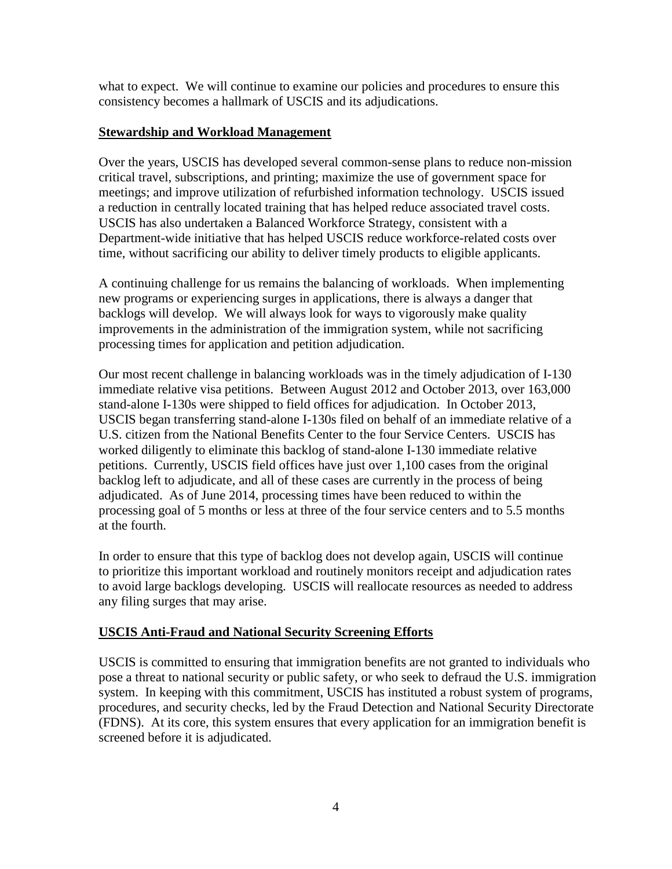what to expect. We will continue to examine our policies and procedures to ensure this consistency becomes a hallmark of USCIS and its adjudications.

#### **Stewardship and Workload Management**

Over the years, USCIS has developed several common-sense plans to reduce non-mission critical travel, subscriptions, and printing; maximize the use of government space for meetings; and improve utilization of refurbished information technology. USCIS issued a reduction in centrally located training that has helped reduce associated travel costs. USCIS has also undertaken a Balanced Workforce Strategy, consistent with a Department-wide initiative that has helped USCIS reduce workforce-related costs over time, without sacrificing our ability to deliver timely products to eligible applicants.

A continuing challenge for us remains the balancing of workloads. When implementing new programs or experiencing surges in applications, there is always a danger that backlogs will develop. We will always look for ways to vigorously make quality improvements in the administration of the immigration system, while not sacrificing processing times for application and petition adjudication.

Our most recent challenge in balancing workloads was in the timely adjudication of I-130 immediate relative visa petitions. Between August 2012 and October 2013, over 163,000 stand-alone I-130s were shipped to field offices for adjudication. In October 2013, USCIS began transferring stand-alone I-130s filed on behalf of an immediate relative of a U.S. citizen from the National Benefits Center to the four Service Centers. USCIS has worked diligently to eliminate this backlog of stand-alone I-130 immediate relative petitions. Currently, USCIS field offices have just over 1,100 cases from the original backlog left to adjudicate, and all of these cases are currently in the process of being adjudicated. As of June 2014, processing times have been reduced to within the processing goal of 5 months or less at three of the four service centers and to 5.5 months at the fourth.

In order to ensure that this type of backlog does not develop again, USCIS will continue to prioritize this important workload and routinely monitors receipt and adjudication rates to avoid large backlogs developing. USCIS will reallocate resources as needed to address any filing surges that may arise.

#### **USCIS Anti-Fraud and National Security Screening Efforts**

USCIS is committed to ensuring that immigration benefits are not granted to individuals who pose a threat to national security or public safety, or who seek to defraud the U.S. immigration system. In keeping with this commitment, USCIS has instituted a robust system of programs, procedures, and security checks, led by the Fraud Detection and National Security Directorate (FDNS). At its core, this system ensures that every application for an immigration benefit is screened before it is adjudicated.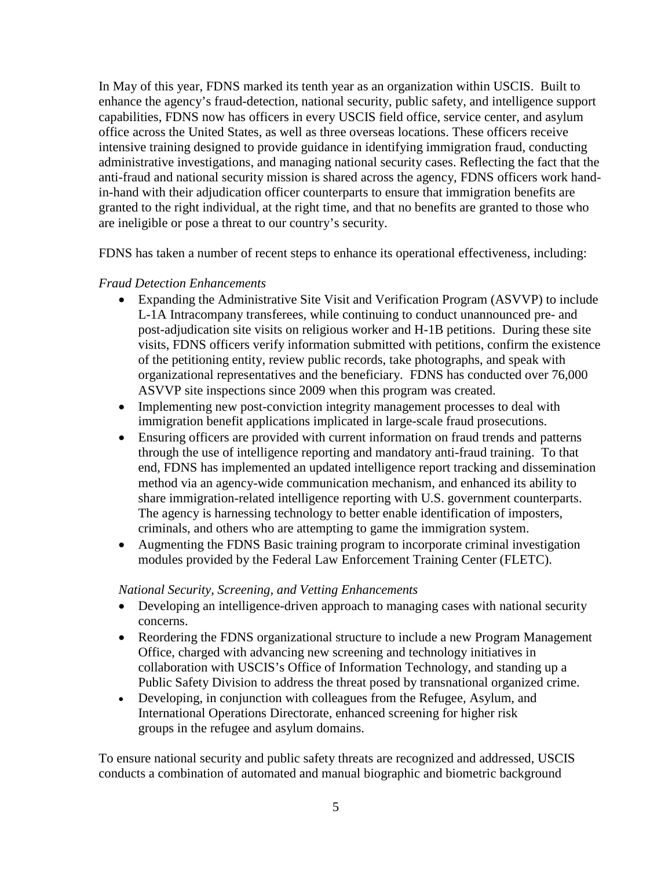In May of this year, FDNS marked its tenth year as an organization within USCIS. Built to enhance the agency's fraud-detection, national security, public safety, and intelligence support capabilities, FDNS now has officers in every USCIS field office, service center, and asylum office across the United States, as well as three overseas locations. These officers receive intensive training designed to provide guidance in identifying immigration fraud, conducting administrative investigations, and managing national security cases. Reflecting the fact that the anti-fraud and national security mission is shared across the agency, FDNS officers work handin-hand with their adjudication officer counterparts to ensure that immigration benefits are granted to the right individual, at the right time, and that no benefits are granted to those who are ineligible or pose a threat to our country's security.

FDNS has taken a number of recent steps to enhance its operational effectiveness, including:

#### *Fraud Detection Enhancements*

- Expanding the Administrative Site Visit and Verification Program (ASVVP) to include L-1A Intracompany transferees, while continuing to conduct unannounced pre- and post-adjudication site visits on religious worker and H-1B petitions. During these site visits, FDNS officers verify information submitted with petitions, confirm the existence of the petitioning entity, review public records, take photographs, and speak with organizational representatives and the beneficiary. FDNS has conducted over 76,000 ASVVP site inspections since 2009 when this program was created.
- Implementing new post-conviction integrity management processes to deal with immigration benefit applications implicated in large-scale fraud prosecutions.
- Ensuring officers are provided with current information on fraud trends and patterns through the use of intelligence reporting and mandatory anti-fraud training. To that end, FDNS has implemented an updated intelligence report tracking and dissemination method via an agency-wide communication mechanism, and enhanced its ability to share immigration-related intelligence reporting with U.S. government counterparts. The agency is harnessing technology to better enable identification of imposters, criminals, and others who are attempting to game the immigration system.
- Augmenting the FDNS Basic training program to incorporate criminal investigation modules provided by the Federal Law Enforcement Training Center (FLETC).

#### *National Security, Screening, and Vetting Enhancements*

- Developing an intelligence-driven approach to managing cases with national security concerns.
- Reordering the FDNS organizational structure to include a new Program Management Office, charged with advancing new screening and technology initiatives in collaboration with USCIS's Office of Information Technology, and standing up a Public Safety Division to address the threat posed by transnational organized crime.
- Developing, in conjunction with colleagues from the Refugee, Asylum, and International Operations Directorate, enhanced screening for higher risk groups in the refugee and asylum domains.

To ensure national security and public safety threats are recognized and addressed, USCIS conducts a combination of automated and manual biographic and biometric background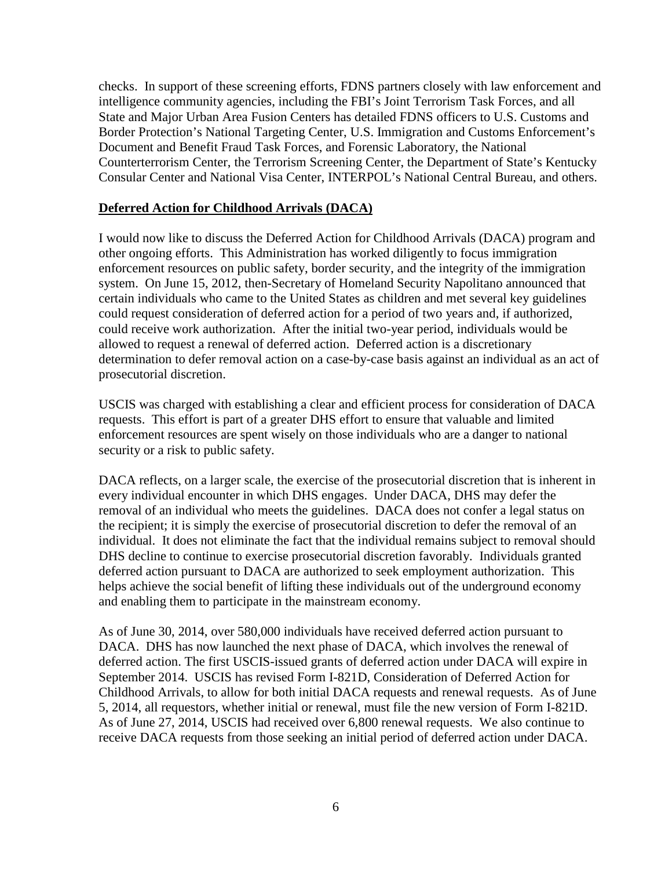checks. In support of these screening efforts, FDNS partners closely with law enforcement and intelligence community agencies, including the FBI's Joint Terrorism Task Forces, and all State and Major Urban Area Fusion Centers has detailed FDNS officers to U.S. Customs and Border Protection's National Targeting Center, U.S. Immigration and Customs Enforcement's Document and Benefit Fraud Task Forces, and Forensic Laboratory, the National Counterterrorism Center, the Terrorism Screening Center, the Department of State's Kentucky Consular Center and National Visa Center, INTERPOL's National Central Bureau, and others.

#### **Deferred Action for Childhood Arrivals (DACA)**

I would now like to discuss the Deferred Action for Childhood Arrivals (DACA) program and other ongoing efforts. This Administration has worked diligently to focus immigration enforcement resources on public safety, border security, and the integrity of the immigration system. On June 15, 2012, then-Secretary of Homeland Security Napolitano announced that certain individuals who came to the United States as children and met several key guidelines could request consideration of deferred action for a period of two years and, if authorized, could receive work authorization. After the initial two-year period, individuals would be allowed to request a renewal of deferred action. Deferred action is a discretionary determination to defer removal action on a case-by-case basis against an individual as an act of prosecutorial discretion.

USCIS was charged with establishing a clear and efficient process for consideration of DACA requests. This effort is part of a greater DHS effort to ensure that valuable and limited enforcement resources are spent wisely on those individuals who are a danger to national security or a risk to public safety.

DACA reflects, on a larger scale, the exercise of the prosecutorial discretion that is inherent in every individual encounter in which DHS engages. Under DACA, DHS may defer the removal of an individual who meets the guidelines. DACA does not confer a legal status on the recipient; it is simply the exercise of prosecutorial discretion to defer the removal of an individual. It does not eliminate the fact that the individual remains subject to removal should DHS decline to continue to exercise prosecutorial discretion favorably. Individuals granted deferred action pursuant to DACA are authorized to seek employment authorization. This helps achieve the social benefit of lifting these individuals out of the underground economy and enabling them to participate in the mainstream economy.

As of June 30, 2014, over 580,000 individuals have received deferred action pursuant to DACA. DHS has now launched the next phase of DACA, which involves the renewal of deferred action. The first USCIS-issued grants of deferred action under DACA will expire in September 2014. USCIS has revised Form I-821D, Consideration of Deferred Action for Childhood Arrivals, to allow for both initial DACA requests and renewal requests. As of June 5, 2014, all requestors, whether initial or renewal, must file the new version of Form I-821D. As of June 27, 2014, USCIS had received over 6,800 renewal requests. We also continue to receive DACA requests from those seeking an initial period of deferred action under DACA.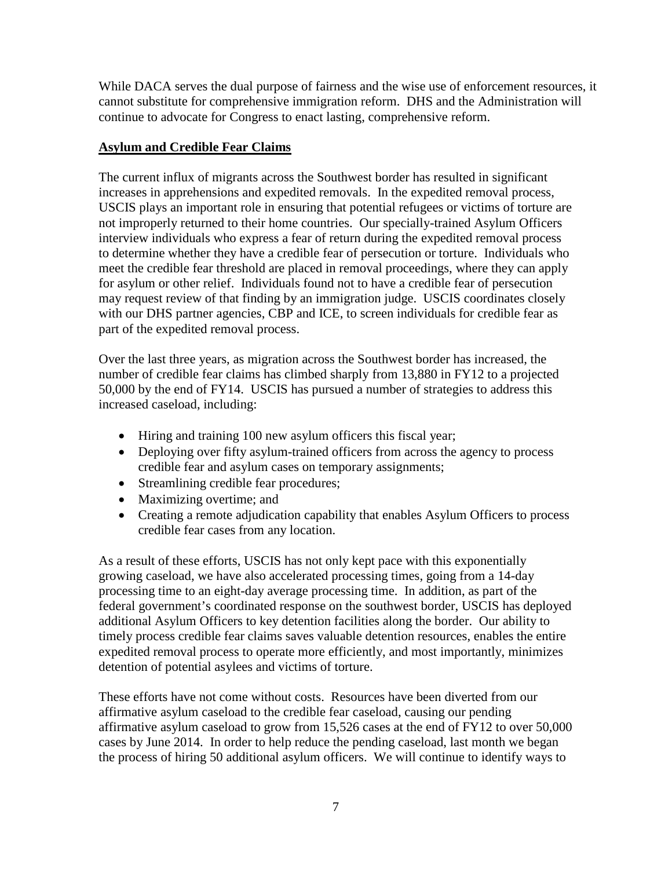While DACA serves the dual purpose of fairness and the wise use of enforcement resources, it cannot substitute for comprehensive immigration reform. DHS and the Administration will continue to advocate for Congress to enact lasting, comprehensive reform.

#### **Asylum and Credible Fear Claims**

The current influx of migrants across the Southwest border has resulted in significant increases in apprehensions and expedited removals. In the expedited removal process, USCIS plays an important role in ensuring that potential refugees or victims of torture are not improperly returned to their home countries. Our specially-trained Asylum Officers interview individuals who express a fear of return during the expedited removal process to determine whether they have a credible fear of persecution or torture. Individuals who meet the credible fear threshold are placed in removal proceedings, where they can apply for asylum or other relief. Individuals found not to have a credible fear of persecution may request review of that finding by an immigration judge. USCIS coordinates closely with our DHS partner agencies, CBP and ICE, to screen individuals for credible fear as part of the expedited removal process.

Over the last three years, as migration across the Southwest border has increased, the number of credible fear claims has climbed sharply from 13,880 in FY12 to a projected 50,000 by the end of FY14. USCIS has pursued a number of strategies to address this increased caseload, including:

- Hiring and training 100 new asylum officers this fiscal year;
- Deploying over fifty asylum-trained officers from across the agency to process credible fear and asylum cases on temporary assignments;
- Streamlining credible fear procedures;
- Maximizing overtime; and
- Creating a remote adjudication capability that enables Asylum Officers to process credible fear cases from any location.

As a result of these efforts, USCIS has not only kept pace with this exponentially growing caseload, we have also accelerated processing times, going from a 14-day processing time to an eight-day average processing time. In addition, as part of the federal government's coordinated response on the southwest border, USCIS has deployed additional Asylum Officers to key detention facilities along the border. Our ability to timely process credible fear claims saves valuable detention resources, enables the entire expedited removal process to operate more efficiently, and most importantly, minimizes detention of potential asylees and victims of torture.

These efforts have not come without costs. Resources have been diverted from our affirmative asylum caseload to the credible fear caseload, causing our pending affirmative asylum caseload to grow from 15,526 cases at the end of FY12 to over 50,000 cases by June 2014. In order to help reduce the pending caseload, last month we began the process of hiring 50 additional asylum officers. We will continue to identify ways to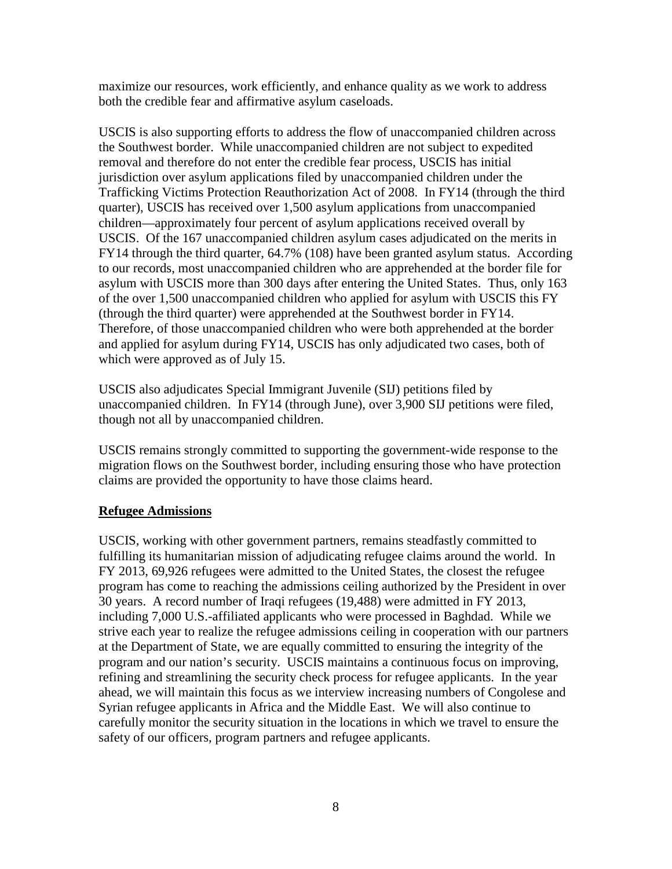maximize our resources, work efficiently, and enhance quality as we work to address both the credible fear and affirmative asylum caseloads.

USCIS is also supporting efforts to address the flow of unaccompanied children across the Southwest border. While unaccompanied children are not subject to expedited removal and therefore do not enter the credible fear process, USCIS has initial jurisdiction over asylum applications filed by unaccompanied children under the Trafficking Victims Protection Reauthorization Act of 2008. In FY14 (through the third quarter), USCIS has received over 1,500 asylum applications from unaccompanied children—approximately four percent of asylum applications received overall by USCIS. Of the 167 unaccompanied children asylum cases adjudicated on the merits in FY14 through the third quarter, 64.7% (108) have been granted asylum status. According to our records, most unaccompanied children who are apprehended at the border file for asylum with USCIS more than 300 days after entering the United States. Thus, only 163 of the over 1,500 unaccompanied children who applied for asylum with USCIS this FY (through the third quarter) were apprehended at the Southwest border in FY14. Therefore, of those unaccompanied children who were both apprehended at the border and applied for asylum during FY14, USCIS has only adjudicated two cases, both of which were approved as of July 15.

USCIS also adjudicates Special Immigrant Juvenile (SIJ) petitions filed by unaccompanied children. In FY14 (through June), over 3,900 SIJ petitions were filed, though not all by unaccompanied children.

USCIS remains strongly committed to supporting the government-wide response to the migration flows on the Southwest border, including ensuring those who have protection claims are provided the opportunity to have those claims heard.

#### **Refugee Admissions**

USCIS, working with other government partners, remains steadfastly committed to fulfilling its humanitarian mission of adjudicating refugee claims around the world. In FY 2013, 69,926 refugees were admitted to the United States, the closest the refugee program has come to reaching the admissions ceiling authorized by the President in over 30 years. A record number of Iraqi refugees (19,488) were admitted in FY 2013, including 7,000 U.S.-affiliated applicants who were processed in Baghdad. While we strive each year to realize the refugee admissions ceiling in cooperation with our partners at the Department of State, we are equally committed to ensuring the integrity of the program and our nation's security. USCIS maintains a continuous focus on improving, refining and streamlining the security check process for refugee applicants. In the year ahead, we will maintain this focus as we interview increasing numbers of Congolese and Syrian refugee applicants in Africa and the Middle East. We will also continue to carefully monitor the security situation in the locations in which we travel to ensure the safety of our officers, program partners and refugee applicants.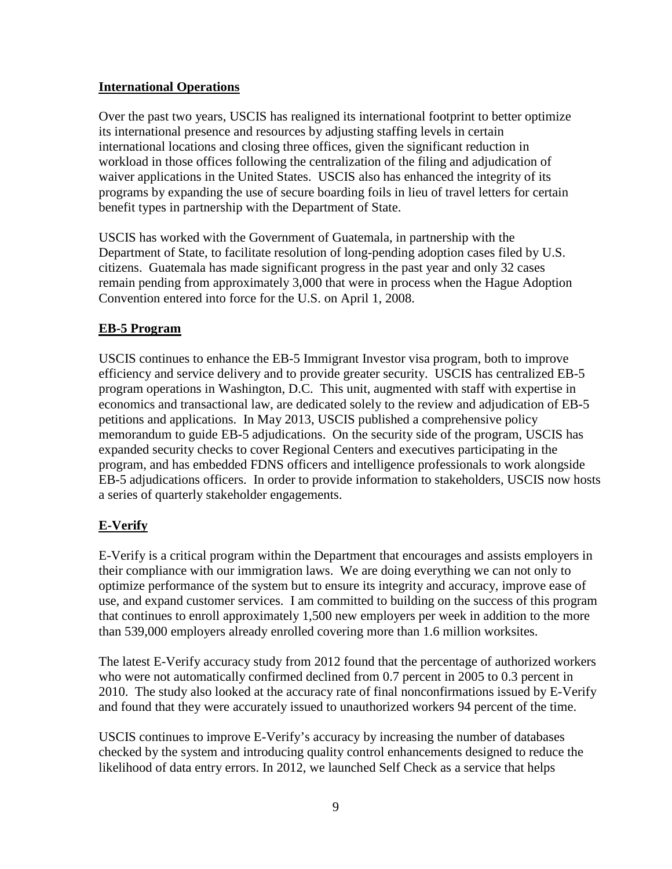#### **International Operations**

Over the past two years, USCIS has realigned its international footprint to better optimize its international presence and resources by adjusting staffing levels in certain international locations and closing three offices, given the significant reduction in workload in those offices following the centralization of the filing and adjudication of waiver applications in the United States. USCIS also has enhanced the integrity of its programs by expanding the use of secure boarding foils in lieu of travel letters for certain benefit types in partnership with the Department of State.

USCIS has worked with the Government of Guatemala, in partnership with the Department of State, to facilitate resolution of long-pending adoption cases filed by U.S. citizens. Guatemala has made significant progress in the past year and only 32 cases remain pending from approximately 3,000 that were in process when the Hague Adoption Convention entered into force for the U.S. on April 1, 2008.

#### **EB-5 Program**

USCIS continues to enhance the EB-5 Immigrant Investor visa program, both to improve efficiency and service delivery and to provide greater security. USCIS has centralized EB-5 program operations in Washington, D.C. This unit, augmented with staff with expertise in economics and transactional law, are dedicated solely to the review and adjudication of EB-5 petitions and applications. In May 2013, USCIS published a comprehensive policy memorandum to guide EB-5 adjudications. On the security side of the program, USCIS has expanded security checks to cover Regional Centers and executives participating in the program, and has embedded FDNS officers and intelligence professionals to work alongside EB-5 adjudications officers. In order to provide information to stakeholders, USCIS now hosts a series of quarterly stakeholder engagements.

#### **E-Verify**

E-Verify is a critical program within the Department that encourages and assists employers in their compliance with our immigration laws. We are doing everything we can not only to optimize performance of the system but to ensure its integrity and accuracy, improve ease of use, and expand customer services. I am committed to building on the success of this program that continues to enroll approximately 1,500 new employers per week in addition to the more than 539,000 employers already enrolled covering more than 1.6 million worksites.

The latest E-Verify accuracy study from 2012 found that the percentage of authorized workers who were not automatically confirmed declined from 0.7 percent in 2005 to 0.3 percent in 2010. The study also looked at the accuracy rate of final nonconfirmations issued by E-Verify and found that they were accurately issued to unauthorized workers 94 percent of the time.

USCIS continues to improve E-Verify's accuracy by increasing the number of databases checked by the system and introducing quality control enhancements designed to reduce the likelihood of data entry errors. In 2012, we launched Self Check as a service that helps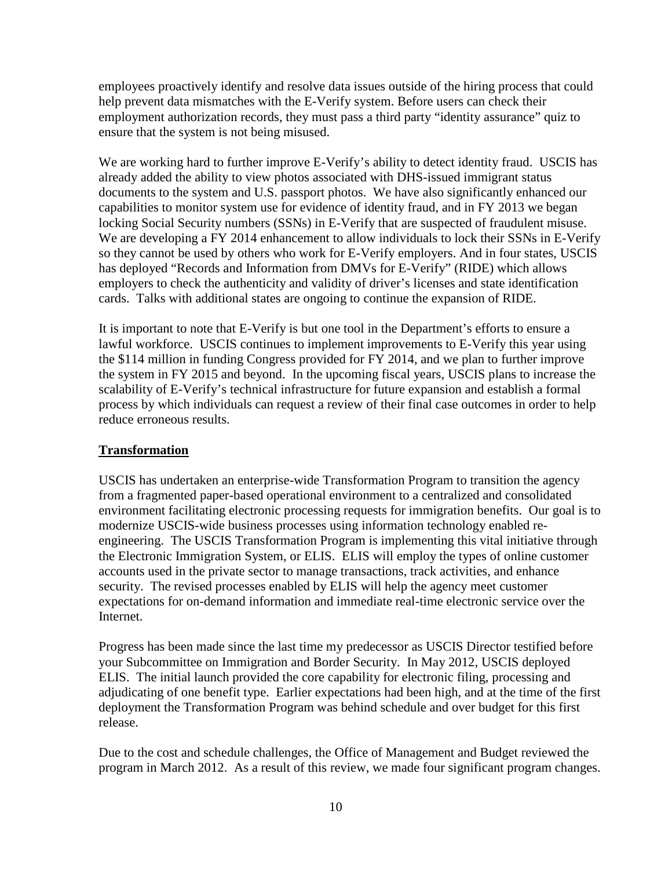employees proactively identify and resolve data issues outside of the hiring process that could help prevent data mismatches with the E-Verify system. Before users can check their employment authorization records, they must pass a third party "identity assurance" quiz to ensure that the system is not being misused.

We are working hard to further improve E-Verify's ability to detect identity fraud. USCIS has already added the ability to view photos associated with DHS-issued immigrant status documents to the system and U.S. passport photos. We have also significantly enhanced our capabilities to monitor system use for evidence of identity fraud, and in FY 2013 we began locking Social Security numbers (SSNs) in E-Verify that are suspected of fraudulent misuse. We are developing a FY 2014 enhancement to allow individuals to lock their SSNs in E-Verify so they cannot be used by others who work for E-Verify employers. And in four states, USCIS has deployed "Records and Information from DMVs for E-Verify" (RIDE) which allows employers to check the authenticity and validity of driver's licenses and state identification cards. Talks with additional states are ongoing to continue the expansion of RIDE.

It is important to note that E-Verify is but one tool in the Department's efforts to ensure a lawful workforce. USCIS continues to implement improvements to E-Verify this year using the \$114 million in funding Congress provided for FY 2014, and we plan to further improve the system in FY 2015 and beyond. In the upcoming fiscal years, USCIS plans to increase the scalability of E-Verify's technical infrastructure for future expansion and establish a formal process by which individuals can request a review of their final case outcomes in order to help reduce erroneous results.

#### **Transformation**

USCIS has undertaken an enterprise-wide Transformation Program to transition the agency from a fragmented paper-based operational environment to a centralized and consolidated environment facilitating electronic processing requests for immigration benefits. Our goal is to modernize USCIS-wide business processes using information technology enabled reengineering. The USCIS Transformation Program is implementing this vital initiative through the Electronic Immigration System, or ELIS. ELIS will employ the types of online customer accounts used in the private sector to manage transactions, track activities, and enhance security. The revised processes enabled by ELIS will help the agency meet customer expectations for on-demand information and immediate real-time electronic service over the Internet.

Progress has been made since the last time my predecessor as USCIS Director testified before your Subcommittee on Immigration and Border Security. In May 2012, USCIS deployed ELIS. The initial launch provided the core capability for electronic filing, processing and adjudicating of one benefit type. Earlier expectations had been high, and at the time of the first deployment the Transformation Program was behind schedule and over budget for this first release.

Due to the cost and schedule challenges, the Office of Management and Budget reviewed the program in March 2012. As a result of this review, we made four significant program changes.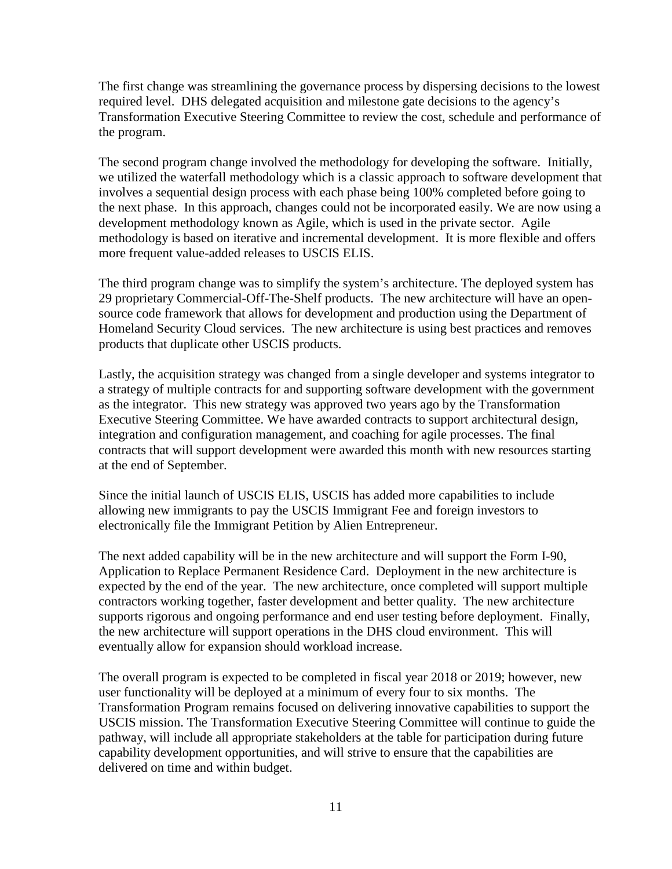The first change was streamlining the governance process by dispersing decisions to the lowest required level. DHS delegated acquisition and milestone gate decisions to the agency's Transformation Executive Steering Committee to review the cost, schedule and performance of the program.

The second program change involved the methodology for developing the software. Initially, we utilized the waterfall methodology which is a classic approach to software development that involves a sequential design process with each phase being 100% completed before going to the next phase. In this approach, changes could not be incorporated easily. We are now using a development methodology known as Agile, which is used in the private sector. Agile methodology is based on iterative and incremental development. It is more flexible and offers more frequent value-added releases to USCIS ELIS.

The third program change was to simplify the system's architecture. The deployed system has 29 proprietary Commercial-Off-The-Shelf products. The new architecture will have an opensource code framework that allows for development and production using the Department of Homeland Security Cloud services. The new architecture is using best practices and removes products that duplicate other USCIS products.

Lastly, the acquisition strategy was changed from a single developer and systems integrator to a strategy of multiple contracts for and supporting software development with the government as the integrator. This new strategy was approved two years ago by the Transformation Executive Steering Committee. We have awarded contracts to support architectural design, integration and configuration management, and coaching for agile processes. The final contracts that will support development were awarded this month with new resources starting at the end of September.

Since the initial launch of USCIS ELIS, USCIS has added more capabilities to include allowing new immigrants to pay the USCIS Immigrant Fee and foreign investors to electronically file the Immigrant Petition by Alien Entrepreneur.

The next added capability will be in the new architecture and will support the Form I-90, Application to Replace Permanent Residence Card. Deployment in the new architecture is expected by the end of the year. The new architecture, once completed will support multiple contractors working together, faster development and better quality. The new architecture supports rigorous and ongoing performance and end user testing before deployment. Finally, the new architecture will support operations in the DHS cloud environment. This will eventually allow for expansion should workload increase.

The overall program is expected to be completed in fiscal year 2018 or 2019; however, new user functionality will be deployed at a minimum of every four to six months. The Transformation Program remains focused on delivering innovative capabilities to support the USCIS mission. The Transformation Executive Steering Committee will continue to guide the pathway, will include all appropriate stakeholders at the table for participation during future capability development opportunities, and will strive to ensure that the capabilities are delivered on time and within budget.